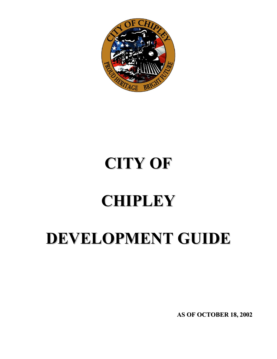

# **CITY OF**

# **CHIPLEY**

# **DEVELOPMENT GUIDE**

**AS OF OCTOBER 18, 2002**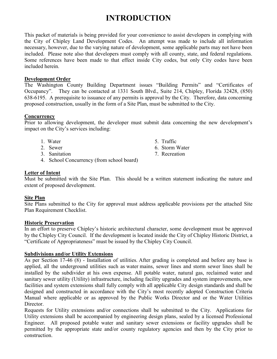### **INTRODUCTION**

This packet of materials is being provided for your convenience to assist developers in complying with the City of Chipley Land Development Codes. An attempt was made to include all information necessary, however, due to the varying nature of development, some applicable parts may not have been included. Please note also that developers must comply with all county, state, and federal regulations. Some references have been made to that effect inside City codes, but only City codes have been included herein.

### **Development Order**

The Washington County Building Department issues "Building Permits" and "Certificates of Occupancy". They can be contacted at 1331 South Blvd., Suite 214, Chipley, Florida 32428, (850) 638-6195. A prerequisite to issuance of any permits is approval by the City. Therefore, data concerning proposed construction, usually in the form of a Site Plan, must be submitted to the City.

### **Concurrency**

Prior to allowing development, the developer must submit data concerning the new development's impact on the City's services including:

- 1. Water 5. Traffic
- 
- 3. Sanitation 7. Recreation
- 4. School Concurrency (from school board)

### **Letter of Intent**

Must be submitted with the Site Plan. This should be a written statement indicating the nature and extent of proposed development.

### **Site Plan**

Site Plans submitted to the City for approval must address applicable provisions per the attached Site Plan Requirement Checklist.

#### **Historic Preservation**

In an effort to preserve Chipley's historic architectural character, some development must be approved by the Chipley City Council. If the development is located inside the City of Chipley Historic District, a "Certificate of Appropriateness" must be issued by the Chipley City Council.

### **Subdivisions and/or Utility Extensions**

As per Section 17-46 (8) - Installation of utilities. After grading is completed and before any base is applied, all the underground utilities such as water mains, sewer lines and storm sewer lines shall be installed by the subdivider at his own expense. All potable water, natural gas, reclaimed water and sanitary sewer utility (Utility) infrastructure, including facility upgrades and system improvements, new facilities and system extensions shall fully comply with all applicable City design standards and shall be designed and constructed in accordance with the City's most recently adopted Construction Criteria Manual where applicable or as approved by the Public Works Director and or the Water Utilities Director.

Requests for Utility extensions and/or connections shall be submitted to the City. Applications for Utility extensions shall be accompanied by engineering design plans, sealed by a licensed Professional Engineer. All proposed potable water and sanitary sewer extensions or facility upgrades shall be permitted by the appropriate state and/or county regulatory agencies and then by the City prior to construction.

- 
- 2. Sewer 6. Storm Water
	-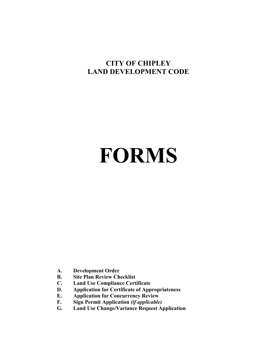### **CITY OF CHIPLEY LAND DEVELOPMENT CODE**

# **FORMS**

- **A. Development Order**
- **B. Site Plan Review Checklist**
- **C. Land Use Compliance Certificate**
- **D. Application for Certificate of Appropriateness**
- **E. Application for Concurrency Review**
- **F. Sign Permit Application** *(if applicable)*
- **G. Land Use Change/Variance Request Application**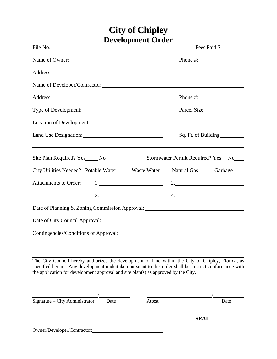## **City of Chipley Development Order**

| File No.                                                                                                                                                                                                                       | Fees Paid \$                           |
|--------------------------------------------------------------------------------------------------------------------------------------------------------------------------------------------------------------------------------|----------------------------------------|
| Name of Owner:                                                                                                                                                                                                                 | Phone #: $\frac{2}{\sqrt{2}}$          |
|                                                                                                                                                                                                                                |                                        |
| Name of Developer/Contractor:                                                                                                                                                                                                  |                                        |
|                                                                                                                                                                                                                                | Phone #: $\frac{1}{2}$                 |
| Type of Development:                                                                                                                                                                                                           | Parcel Size:                           |
|                                                                                                                                                                                                                                |                                        |
| Land Use Designation:                                                                                                                                                                                                          | Sq. Ft. of Building                    |
| Site Plan Required? Yes No                                                                                                                                                                                                     | <b>Stormwater Permit Required? Yes</b> |
| City Utilities Needed? Potable Water _____ Waste Water Natural Gas                                                                                                                                                             | Garbage                                |
| <b>Attachments to Order:</b>                                                                                                                                                                                                   | $1.$ 2.                                |
|                                                                                                                                                                                                                                | $3.$ $4.$                              |
| Date of Planning & Zoning Commission Approval: __________________________________                                                                                                                                              |                                        |
|                                                                                                                                                                                                                                |                                        |
| Contingencies/Conditions of Approval: Continued by Approval and Approval control of Approval control of Approval control of Approval control of Approval control of Approval control of Approval control of Approval control o |                                        |

The City Council hereby authorizes the development of land within the City of Chipley, Florida, as specified herein. Any development undertaken pursuant to this order shall be in strict conformance with the application for development approval and site plan(s) as approved by the City.

| Signature – City Administrator | Date | Attest | Date        |
|--------------------------------|------|--------|-------------|
|                                |      |        | <b>SEAL</b> |
| Owner/Developer/Contractor:    |      |        |             |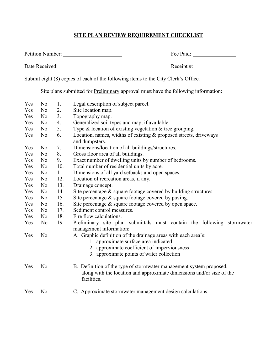### **SITE PLAN REVIEW REQUIREMENT CHECKLIST**

| <b>Petition Number:</b> | Fee Paid: |
|-------------------------|-----------|
|-------------------------|-----------|

Date Received: Receipt #:

Submit eight (8) copies of each of the following items to the City Clerk's Office.

Site plans submitted for Preliminary approval must have the following information:

| Yes | N <sub>o</sub> | 1.  | Legal description of subject parcel.                                                                                                                        |
|-----|----------------|-----|-------------------------------------------------------------------------------------------------------------------------------------------------------------|
| Yes | No             | 2.  | Site location map.                                                                                                                                          |
| Yes | No             | 3.  | Topography map.                                                                                                                                             |
| Yes | No             | 4.  | Generalized soil types and map, if available.                                                                                                               |
| Yes | No             | 5.  | Type & location of existing vegetation & tree grouping.                                                                                                     |
| Yes | N <sub>o</sub> | 6.  | Location, names, widths of existing & proposed streets, driveways<br>and dumpsters.                                                                         |
| Yes | No             | 7.  | Dimensions/location of all buildings/structures.                                                                                                            |
| Yes | N <sub>o</sub> | 8.  | Gross floor area of all buildings.                                                                                                                          |
| Yes | No             | 9.  | Exact number of dwelling units by number of bedrooms.                                                                                                       |
| Yes | No             | 10. | Total number of residential units by acre.                                                                                                                  |
| Yes | No             | 11. | Dimensions of all yard setbacks and open spaces.                                                                                                            |
| Yes | N <sub>o</sub> | 12. | Location of recreation areas, if any.                                                                                                                       |
| Yes | No             | 13. | Drainage concept.                                                                                                                                           |
| Yes | No             | 14. | Site percentage $\&$ square footage covered by building structures.                                                                                         |
| Yes | N <sub>o</sub> | 15. | Site percentage & square footage covered by paving.                                                                                                         |
| Yes | No             | 16. | Site percentage & square footage covered by open space.                                                                                                     |
| Yes | No             | 17. | Sediment control measures.                                                                                                                                  |
| Yes | N <sub>o</sub> | 18. | Fire flow calculations.                                                                                                                                     |
| Yes | N <sub>o</sub> | 19. | Preliminary site plan submittals must contain the following stormwater<br>management information:                                                           |
| Yes | N <sub>o</sub> |     | A. Graphic definition of the drainage areas with each area's:<br>1. approximate surface area indicated                                                      |
|     |                |     | 2. approximate coefficient of imperviousness<br>3. approximate points of water collection                                                                   |
| Yes | No             |     | B. Definition of the type of stormwater management system proposed,<br>along with the location and approximate dimensions and/or size of the<br>facilities. |
| Yes | No             |     | C. Approximate stormwater management design calculations.                                                                                                   |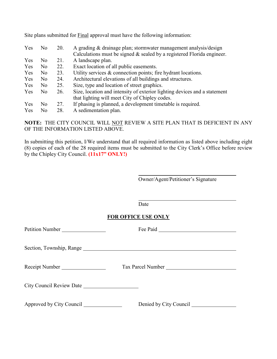| Yes | N <sub>0</sub> | 20. | A grading & drainage plan; stormwater management analysis/design<br>Calculations must be signed $\&$ sealed by a registered Florida engineer. |
|-----|----------------|-----|-----------------------------------------------------------------------------------------------------------------------------------------------|
| Yes | N <sub>o</sub> | 21. | A landscape plan.                                                                                                                             |
| Yes | N <sub>0</sub> | 22. | Exact location of all public easements.                                                                                                       |
| Yes | N <sub>o</sub> | 23. | Utility services & connection points; fire hydrant locations.                                                                                 |
| Yes | N <sub>0</sub> | 24. | Architectural elevations of all buildings and structures.                                                                                     |
| Yes | N <sub>0</sub> | 25. | Size, type and location of street graphics.                                                                                                   |
| Yes | N <sub>o</sub> | 26. | Size, location and intensity of exterior lighting devices and a statement                                                                     |
|     |                |     | that lighting will meet City of Chipley codes.                                                                                                |
| Yes | No.            | 27. | If phasing is planned, a development timetable is required.                                                                                   |
| Yes | N <sub>0</sub> | 28. | A sedimentation plan.                                                                                                                         |

Site plans submitted for Final approval must have the following information:

**NOTE:** THE CITY COUNCIL WILL NOT REVIEW A SITE PLAN THAT IS DEFICIENT IN ANY OF THE INFORMATION LISTED ABOVE.

In submitting this petition, I/We understand that all required information as listed above including eight (8) copies of each of the 28 required items must be submitted to the City Clerk's Office before review by the Chipley City Council. **(11x17" ONLY!)**

Owner/Agent/Petitioner's Signature

Date

### **FOR OFFICE USE ONLY**

| Petition Number                         |                        |
|-----------------------------------------|------------------------|
|                                         |                        |
| Receipt Number                          |                        |
|                                         |                        |
| Approved by City Council ______________ | Denied by City Council |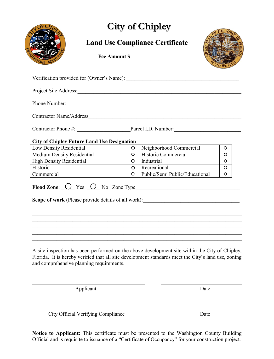

### **Land Use Compliance Certificate**



| <b>City of Chipley</b>                             |                             |         |                                                                                                                                                                                                          |         |
|----------------------------------------------------|-----------------------------|---------|----------------------------------------------------------------------------------------------------------------------------------------------------------------------------------------------------------|---------|
|                                                    |                             |         | <b>Land Use Compliance Certificate</b>                                                                                                                                                                   |         |
|                                                    |                             |         |                                                                                                                                                                                                          |         |
|                                                    |                             |         |                                                                                                                                                                                                          |         |
|                                                    |                             |         |                                                                                                                                                                                                          |         |
|                                                    |                             |         | Phone Number:                                                                                                                                                                                            |         |
|                                                    |                             |         |                                                                                                                                                                                                          |         |
|                                                    |                             |         |                                                                                                                                                                                                          |         |
| <b>City of Chipley Future Land Use Designation</b> |                             |         |                                                                                                                                                                                                          |         |
| Low Density Residential                            |                             | $\circ$ | Neighborhood Commercial                                                                                                                                                                                  | O       |
| Medium Density Residential                         |                             | $\circ$ | Historic Commercial                                                                                                                                                                                      | $\circ$ |
| <b>High Density Residential</b>                    | <u> 1999 - Jan Barat, p</u> | $\circ$ | Industrial                                                                                                                                                                                               | $\circ$ |
| Historic                                           |                             | $\circ$ | Recreational                                                                                                                                                                                             | $\circ$ |
| Commercial                                         |                             | $\circ$ | Public/Semi Public/Educational                                                                                                                                                                           | O       |
|                                                    |                             |         |                                                                                                                                                                                                          |         |
| and comprehensive planning requirements.           |                             |         | A site inspection has been performed on the above development site within the City of Chipley,<br>Florida. It is hereby verified that all site development standards meet the City's land use, zoning    |         |
| Applicant                                          |                             |         | Date                                                                                                                                                                                                     |         |
| City Official Verifying Compliance                 |                             |         | Date                                                                                                                                                                                                     |         |
|                                                    |                             |         | <b>Notice to Applicant:</b> This certificate must be presented to the Washington County Building<br>Official and is requisite to issuance of a "Certificate of Occupancy" for your construction project. |         |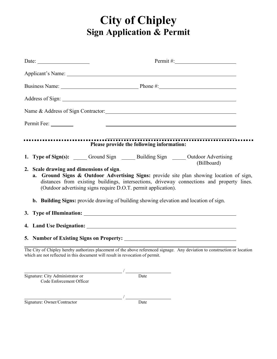# **City of Chipley Sign Application & Permit**

| Date: $\frac{1}{\sqrt{1-\frac{1}{2}}\sqrt{1-\frac{1}{2}}\sqrt{1-\frac{1}{2}}\sqrt{1-\frac{1}{2}}\sqrt{1-\frac{1}{2}}\sqrt{1-\frac{1}{2}}\sqrt{1-\frac{1}{2}}\sqrt{1-\frac{1}{2}}\sqrt{1-\frac{1}{2}}\sqrt{1-\frac{1}{2}}\sqrt{1-\frac{1}{2}}\sqrt{1-\frac{1}{2}}\sqrt{1-\frac{1}{2}}\sqrt{1-\frac{1}{2}}\sqrt{1-\frac{1}{2}}\sqrt{1-\frac{1}{2}}\sqrt{1-\frac{1}{2}}\sqrt{1-\frac{1}{2}}\sqrt{1-\frac{1}{2}}$ |  |
|---------------------------------------------------------------------------------------------------------------------------------------------------------------------------------------------------------------------------------------------------------------------------------------------------------------------------------------------------------------------------------------------------------------|--|
| Applicant's Name: 1988. Applicant of Name: 1988. Applicant of Name: 1988. Applicant of Name: 1988. Applicant of Name: 1988. Applicant of Name: 1988. Applicant of Name: 1988. Applicant of Name: 1988. Applicant of Name: 1988                                                                                                                                                                                |  |
| Business Name: Phone #: Phone #:                                                                                                                                                                                                                                                                                                                                                                              |  |
|                                                                                                                                                                                                                                                                                                                                                                                                               |  |
|                                                                                                                                                                                                                                                                                                                                                                                                               |  |
| Permit Fee:                                                                                                                                                                                                                                                                                                                                                                                                   |  |
| Please provide the following information:                                                                                                                                                                                                                                                                                                                                                                     |  |
| 1. Type of Sign(s): ______ Ground Sign ______ Building Sign ______ Outdoor Advertising<br>(Billboard)                                                                                                                                                                                                                                                                                                         |  |
| 2. Scale drawing and dimensions of sign.<br>a. Ground Signs & Outdoor Advertising Signs: provide site plan showing location of sign,<br>distances from existing buildings, intersections, driveway connections and property lines.<br>(Outdoor advertising signs require D.O.T. permit application).                                                                                                          |  |
| b. Building Signs: provide drawing of building showing elevation and location of sign.                                                                                                                                                                                                                                                                                                                        |  |
|                                                                                                                                                                                                                                                                                                                                                                                                               |  |
|                                                                                                                                                                                                                                                                                                                                                                                                               |  |
| 5. Number of Existing Signs on Property:                                                                                                                                                                                                                                                                                                                                                                      |  |
| The City of Chipley hereby authorizes placement of the above referenced signage. Any deviation to construction or location<br>which are not reflected in this document will result in revocation of permit.                                                                                                                                                                                                   |  |
| Signature: City Administrator or $\frac{1}{2}$                                                                                                                                                                                                                                                                                                                                                                |  |
| Code Enforcement Officer                                                                                                                                                                                                                                                                                                                                                                                      |  |

Signature: Owner/Contractor Date

/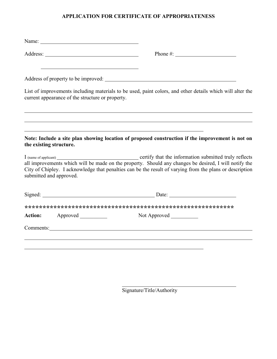### APPLICATION FOR CERTIFICATE OF APPROPRIATENESS

| Name: Name and the state of the state of the state of the state of the state of the state of the state of the state of the state of the state of the state of the state of the state of the state of the state of the state of |                                                                                                                                                                                                                                                                                                                    |
|--------------------------------------------------------------------------------------------------------------------------------------------------------------------------------------------------------------------------------|--------------------------------------------------------------------------------------------------------------------------------------------------------------------------------------------------------------------------------------------------------------------------------------------------------------------|
|                                                                                                                                                                                                                                | Phone #: $\frac{1}{2}$ $\frac{1}{2}$ $\frac{1}{2}$ $\frac{1}{2}$ $\frac{1}{2}$ $\frac{1}{2}$ $\frac{1}{2}$ $\frac{1}{2}$ $\frac{1}{2}$ $\frac{1}{2}$ $\frac{1}{2}$ $\frac{1}{2}$ $\frac{1}{2}$ $\frac{1}{2}$ $\frac{1}{2}$ $\frac{1}{2}$ $\frac{1}{2}$ $\frac{1}{2}$ $\frac{1}{2}$ $\frac{1}{2}$ $\frac{1}{2}$ $\$ |
|                                                                                                                                                                                                                                |                                                                                                                                                                                                                                                                                                                    |
| current appearance of the structure or property.                                                                                                                                                                               | List of improvements including materials to be used, paint colors, and other details which will alter the                                                                                                                                                                                                          |
|                                                                                                                                                                                                                                |                                                                                                                                                                                                                                                                                                                    |
| the existing structure.                                                                                                                                                                                                        | Note: Include a site plan showing location of proposed construction if the improvement is not on                                                                                                                                                                                                                   |
| submitted and approved.                                                                                                                                                                                                        | I (name of applicant) certify that the information submitted truly reflects all improvements which will be made on the property. Should any changes be desired, I will notify the<br>City of Chipley. I acknowledge that penalties can be the result of varying from the plans or description                      |
|                                                                                                                                                                                                                                | Signed: Date: Date: Date:                                                                                                                                                                                                                                                                                          |
|                                                                                                                                                                                                                                |                                                                                                                                                                                                                                                                                                                    |
| <b>Action:</b> Approved                                                                                                                                                                                                        |                                                                                                                                                                                                                                                                                                                    |
|                                                                                                                                                                                                                                | Comments: Comments: Comments: Comments: Comments: Comments: Comments: Comments: Comments: Comments: Comments: Comments: Comments: Comments: Comments: Comments: Comments: Comments: Comments: Comments: Comments: Comments: Co                                                                                     |
|                                                                                                                                                                                                                                |                                                                                                                                                                                                                                                                                                                    |
|                                                                                                                                                                                                                                |                                                                                                                                                                                                                                                                                                                    |
|                                                                                                                                                                                                                                |                                                                                                                                                                                                                                                                                                                    |

Signature/Title/Authority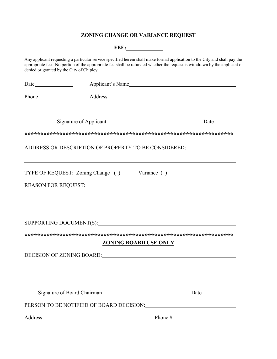### ZONING CHANGE OR VARIANCE REQUEST

|                                                                                                                                                                                                                                                                                                      |                                                                                                                                                                                                                                | <b>FEE:</b>                                                                                                    |
|------------------------------------------------------------------------------------------------------------------------------------------------------------------------------------------------------------------------------------------------------------------------------------------------------|--------------------------------------------------------------------------------------------------------------------------------------------------------------------------------------------------------------------------------|----------------------------------------------------------------------------------------------------------------|
| Any applicant requesting a particular service specified herein shall make formal application to the City and shall pay the<br>appropriate fee. No portion of the appropriate fee shall be refunded whether the request is withdrawn by the applicant or<br>denied or granted by the City of Chipley. |                                                                                                                                                                                                                                |                                                                                                                |
|                                                                                                                                                                                                                                                                                                      |                                                                                                                                                                                                                                | Applicant's Name                                                                                               |
| Phone $\qquad$                                                                                                                                                                                                                                                                                       |                                                                                                                                                                                                                                |                                                                                                                |
|                                                                                                                                                                                                                                                                                                      | Signature of Applicant                                                                                                                                                                                                         | Date                                                                                                           |
|                                                                                                                                                                                                                                                                                                      |                                                                                                                                                                                                                                |                                                                                                                |
|                                                                                                                                                                                                                                                                                                      |                                                                                                                                                                                                                                | ADDRESS OR DESCRIPTION OF PROPERTY TO BE CONSIDERED:                                                           |
|                                                                                                                                                                                                                                                                                                      |                                                                                                                                                                                                                                |                                                                                                                |
|                                                                                                                                                                                                                                                                                                      | TYPE OF REQUEST: Zoning Change () Variance ()                                                                                                                                                                                  |                                                                                                                |
|                                                                                                                                                                                                                                                                                                      |                                                                                                                                                                                                                                |                                                                                                                |
|                                                                                                                                                                                                                                                                                                      |                                                                                                                                                                                                                                |                                                                                                                |
|                                                                                                                                                                                                                                                                                                      |                                                                                                                                                                                                                                |                                                                                                                |
|                                                                                                                                                                                                                                                                                                      |                                                                                                                                                                                                                                | SUPPORTING DOCUMENT(S): VERTICAL CONTROL CONTROL CONTROL CONTROL CONTROL CONTROL CONTROL CONTROL CONTROL CONTR |
|                                                                                                                                                                                                                                                                                                      |                                                                                                                                                                                                                                |                                                                                                                |
|                                                                                                                                                                                                                                                                                                      |                                                                                                                                                                                                                                | <b>ZONING BOARD USE ONLY</b>                                                                                   |
|                                                                                                                                                                                                                                                                                                      | DECISION OF ZONING BOARD: University of the contract of the contract of the contract of the contract of the contract of the contract of the contract of the contract of the contract of the contract of the contract of the co |                                                                                                                |
|                                                                                                                                                                                                                                                                                                      |                                                                                                                                                                                                                                |                                                                                                                |
|                                                                                                                                                                                                                                                                                                      |                                                                                                                                                                                                                                |                                                                                                                |
|                                                                                                                                                                                                                                                                                                      | Signature of Board Chairman                                                                                                                                                                                                    | Date                                                                                                           |
|                                                                                                                                                                                                                                                                                                      |                                                                                                                                                                                                                                |                                                                                                                |
|                                                                                                                                                                                                                                                                                                      |                                                                                                                                                                                                                                |                                                                                                                |
|                                                                                                                                                                                                                                                                                                      |                                                                                                                                                                                                                                |                                                                                                                |